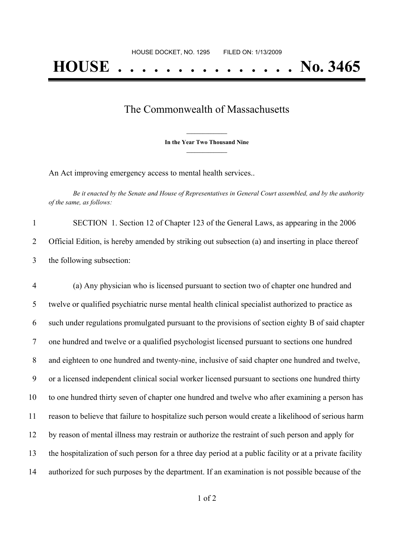## The Commonwealth of Massachusetts

**\_\_\_\_\_\_\_\_\_\_\_\_\_\_\_ In the Year Two Thousand Nine \_\_\_\_\_\_\_\_\_\_\_\_\_\_\_**

An Act improving emergency access to mental health services..

Be it enacted by the Senate and House of Representatives in General Court assembled, and by the authority *of the same, as follows:*

| SECTION 1. Section 12 of Chapter 123 of the General Laws, as appearing in the 2006                |
|---------------------------------------------------------------------------------------------------|
| Official Edition, is hereby amended by striking out subsection (a) and inserting in place thereof |
| the following subsection:                                                                         |

 (a) Any physician who is licensed pursuant to section two of chapter one hundred and twelve or qualified psychiatric nurse mental health clinical specialist authorized to practice as such under regulations promulgated pursuant to the provisions of section eighty B of said chapter one hundred and twelve or a qualified psychologist licensed pursuant to sections one hundred and eighteen to one hundred and twenty-nine, inclusive of said chapter one hundred and twelve, or a licensed independent clinical social worker licensed pursuant to sections one hundred thirty to one hundred thirty seven of chapter one hundred and twelve who after examining a person has reason to believe that failure to hospitalize such person would create a likelihood of serious harm by reason of mental illness may restrain or authorize the restraint of such person and apply for the hospitalization of such person for a three day period at a public facility or at a private facility authorized for such purposes by the department. If an examination is not possible because of the